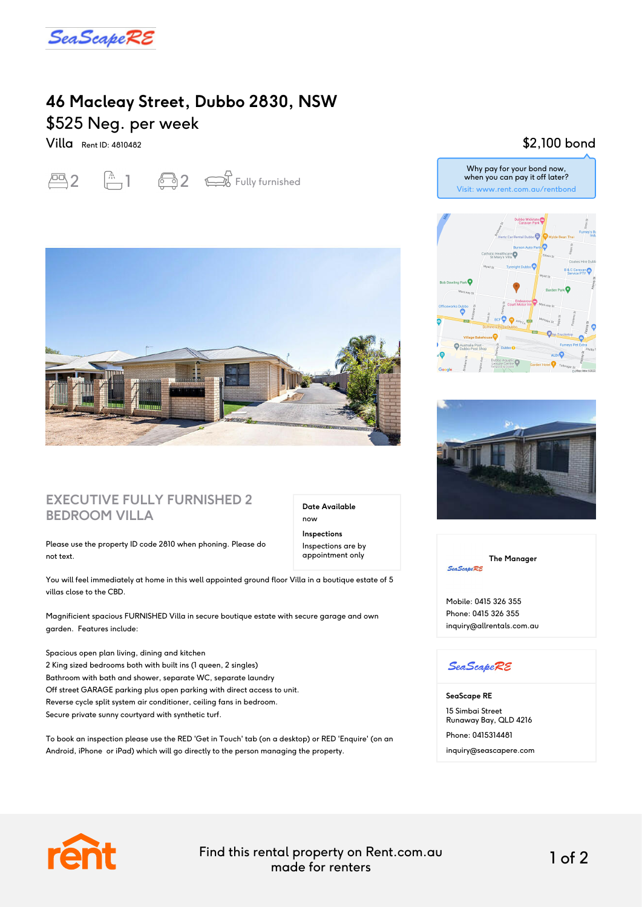

# **46 Macleay Street, Dubbo 2830, NSW** \$525 Neg. per week

Villa Rent ID: 4810482

 $\overline{2}$   $\overline{1}$   $\overline{3}$   $\overline{2}$   $\overline{3}$  Fully furnished



#### **EXECUTIVE FULLY FURNISHED 2 BEDROOM VILLA**

Please use the property ID code 2810 when phoning. Please do not text.

You will feel immediately at home in this well appointed ground floor Villa in a boutique estate of 5 villas close to the CBD.

Magnificient spacious FURNISHED Villa in secure boutique estate with secure garage and own garden. Features include:

Spacious open plan living, dining and kitchen 2 King sized bedrooms both with built ins (1 queen, 2 singles) Bathroom with bath and shower, separate WC, separate laundry Off street GARAGE parking plus open parking with direct access to unit. Reverse cycle split system air conditioner, ceiling fans in bedroom. Secure private sunny courtyard with synthetic turf.

To book an inspection please use the RED 'Get in Touch' tab (on a desktop) or RED 'Enquire' (on an Android, iPhone or iPad) which will go directly to the person managing the property.

### \$2,100 bond







**The Manager SeaScapeRE** 

Mobile: 0415 326 355 Phone: 0415 326 355 inquiry@allrentals.com.au

#### **SeaScapeRE**

**SeaScape RE** 15 Simbai Street Runaway Bay, QLD 4216 Phone: 0415314481 inquiry@seascapere.com



Find this rental property on Rent.com.au made for renters 1 of 2

**Date Available**

now **Inspections** Inspections are by appointment only